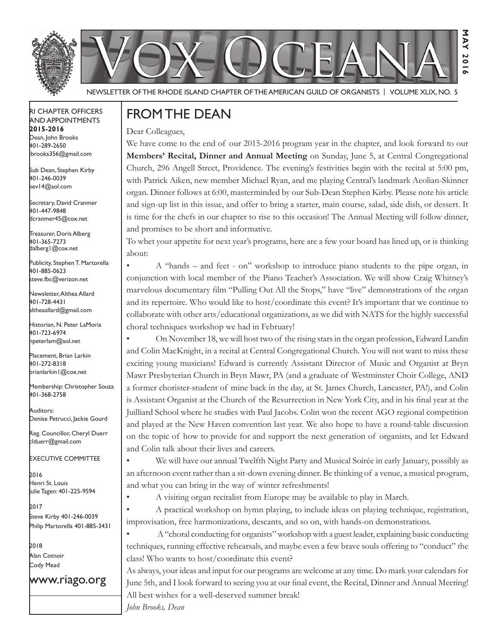



Newsletter of the Rhode Island Chapter of the American Guild of OrganistS | Volume XLIX, No. 5

#### RI Chapter Officers and Appointments **2015-2016** Dean, John Brooks 401-289-2650 jbrooks356@gmail.com

Sub Dean, Stephen Kirby 401-246-0039 kev14@aol.com

Secretary, David Cranmer 401-447-9848 dcranmer45@cox.net

Treasurer, Doris Alberg 401-365-7273 dalberg1@cox.net I

Publicity, Stephen T. Martorella 401-885-0623 steve.fbc@verizon.net

Newsletter, Althea Allard 401-728-4431 altheaallard@gmail.com

Historian, N. Peter LaMoria 401-723-6974 npeterlam@aol.net

Placement, Brian Larkin 401-272-8318 brianlarkin1@cox.net

Membership: Christopher Souza 401-368-2758

Auditors: Denise Petrucci, Jackie Gourd

Reg. Councillor, Cheryl Duerr clduerr@gmail.com

Executive Committee

2016 Henri St. Louis Julie Tagen: 401-225-9594

2017 Steve Kirby 401-246-0039 Philip Martorella 401-885-3431

2018 Alan Cotnoir Cody Mead

www.riago.org

## From the Dean

Dear Colleagues,

We have come to the end of our 2015-2016 program year in the chapter, and look forward to our **Members' Recital, Dinner and Annual Meeting** on Sunday, June 5, at Central Congregational Church, 296 Angell Street, Providence. The evening's festivities begin with the recital at 5:00 pm, with Patrick Aiken, new member Michael Ryan, and me playing Central's landmark Aeolian-Skinner organ. Dinner follows at 6:00, masterminded by our Sub-Dean Stephen Kirby. Please note his article and sign-up list in this issue, and offer to bring a starter, main course, salad, side dish, or dessert. It is time for the chefs in our chapter to rise to this occasion! The Annual Meeting will follow dinner, and promises to be short and informative.

**May 2016**

**201**  $\sim$ 

З  $\overline{M}$ 

To whet your appetite for next year's programs, here are a few your board has lined up, or is thinking about:

• A "hands – and feet - on" workshop to introduce piano students to the pipe organ, in conjunction with local member of the Piano Teacher's Association. We will show Craig Whitney's marvelous documentary film "Pulling Out All the Stops," have "live" demonstrations of the organ and its repertoire. Who would like to host/coordinate this event? It's important that we continue to collaborate with other arts/educational organizations, as we did with NATS for the highly successful choral techniques workshop we had in February!

• On November 18, we will host two of the rising stars in the organ profession, Edward Landin and Colin MacKnight, in a recital at Central Congregational Church. You will not want to miss these exciting young musicians! Edward is currently Assistant Director of Music and Organist at Bryn Mawr Presbyterian Church in Bryn Mawr, PA (and a graduate of Westminster Choir College, AND a former chorister-student of mine back in the day, at St. James Church, Lancaster, PA!), and Colin is Assistant Organist at the Church of the Resurrection in New York City, and in his final year at the Juilliard School where he studies with Paul Jacobs. Colin won the recent AGO regional competition and played at the New Haven convention last year. We also hope to have a round-table discussion on the topic of how to provide for and support the next generation of organists, and let Edward and Colin talk about their lives and careers.

• We will have our annual Twelfth Night Party and Musical Soirée in early January, possibly as an afternoon event rather than a sit-down evening dinner. Be thinking of a venue, a musical program, and what you can bring in the way of winter refreshments!

• A visiting organ recitalist from Europe may be available to play in March.

A practical workshop on hymn playing, to include ideas on playing technique, registration, improvisation, free harmonizations, descants, and so on, with hands-on demonstrations.

A "choral conducting for organists" workshop with a guest leader, explaining basic conducting techniques, running effective rehearsals, and maybe even a few brave souls offering to "conduct" the class! Who wants to host/coordinate this event?

As always, your ideas and input for our programs are welcome at any time. Do mark your calendars for June 5th, and I look forward to seeing you at our final event, the Recital, Dinner and Annual Meeting! All best wishes for a well-deserved summer break! *John Brooks, Dean*